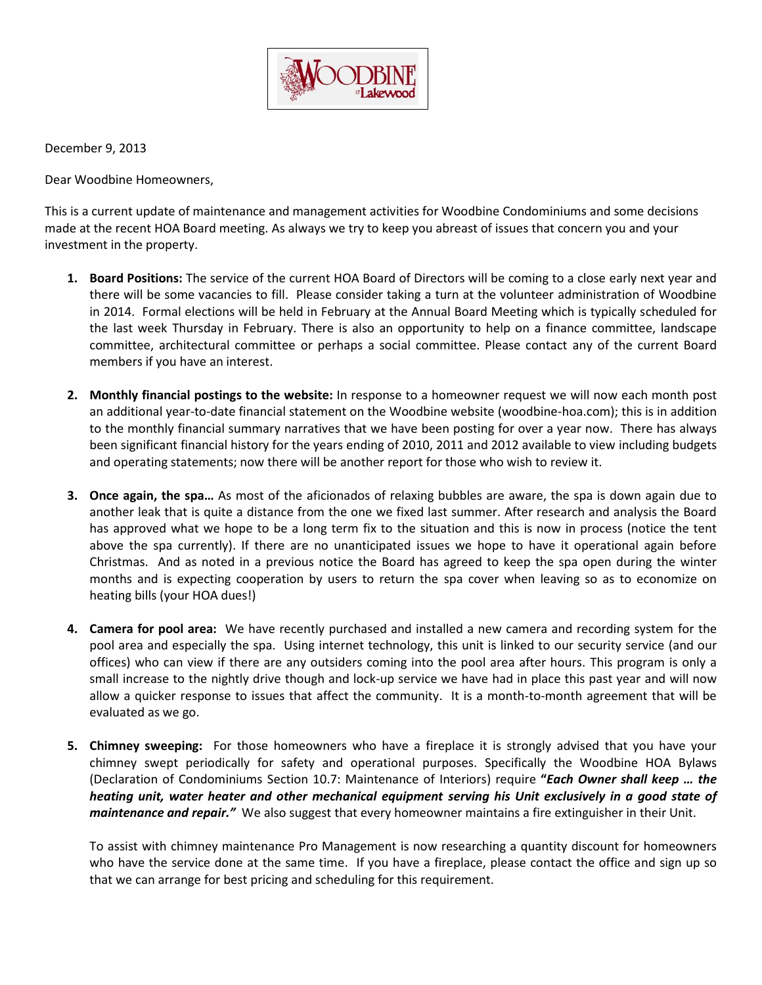

December 9, 2013

Dear Woodbine Homeowners,

This is a current update of maintenance and management activities for Woodbine Condominiums and some decisions made at the recent HOA Board meeting. As always we try to keep you abreast of issues that concern you and your investment in the property.

- **1. Board Positions:** The service of the current HOA Board of Directors will be coming to a close early next year and there will be some vacancies to fill. Please consider taking a turn at the volunteer administration of Woodbine in 2014. Formal elections will be held in February at the Annual Board Meeting which is typically scheduled for the last week Thursday in February. There is also an opportunity to help on a finance committee, landscape committee, architectural committee or perhaps a social committee. Please contact any of the current Board members if you have an interest.
- **2. Monthly financial postings to the website:** In response to a homeowner request we will now each month post an additional year-to-date financial statement on the Woodbine website (woodbine-hoa.com); this is in addition to the monthly financial summary narratives that we have been posting for over a year now. There has always been significant financial history for the years ending of 2010, 2011 and 2012 available to view including budgets and operating statements; now there will be another report for those who wish to review it.
- **3. Once again, the spa…** As most of the aficionados of relaxing bubbles are aware, the spa is down again due to another leak that is quite a distance from the one we fixed last summer. After research and analysis the Board has approved what we hope to be a long term fix to the situation and this is now in process (notice the tent above the spa currently). If there are no unanticipated issues we hope to have it operational again before Christmas. And as noted in a previous notice the Board has agreed to keep the spa open during the winter months and is expecting cooperation by users to return the spa cover when leaving so as to economize on heating bills (your HOA dues!)
- **4. Camera for pool area:** We have recently purchased and installed a new camera and recording system for the pool area and especially the spa. Using internet technology, this unit is linked to our security service (and our offices) who can view if there are any outsiders coming into the pool area after hours. This program is only a small increase to the nightly drive though and lock-up service we have had in place this past year and will now allow a quicker response to issues that affect the community. It is a month-to-month agreement that will be evaluated as we go.
- **5. Chimney sweeping:** For those homeowners who have a fireplace it is strongly advised that you have your chimney swept periodically for safety and operational purposes. Specifically the Woodbine HOA Bylaws (Declaration of Condominiums Section 10.7: Maintenance of Interiors) require **"***Each Owner shall keep … the heating unit, water heater and other mechanical equipment serving his Unit exclusively in a good state of maintenance and repair."* We also suggest that every homeowner maintains a fire extinguisher in their Unit.

To assist with chimney maintenance Pro Management is now researching a quantity discount for homeowners who have the service done at the same time. If you have a fireplace, please contact the office and sign up so that we can arrange for best pricing and scheduling for this requirement.